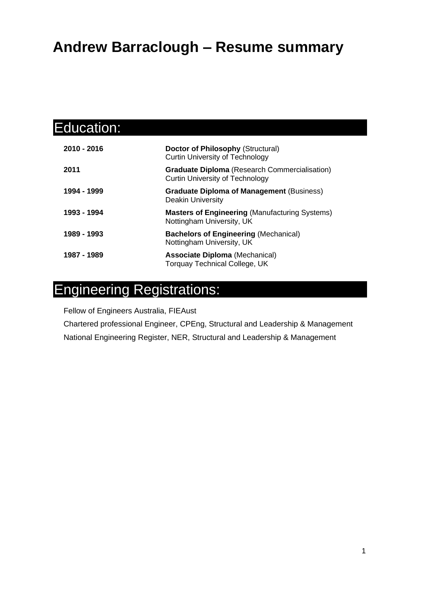### **Andrew Barraclough – Resume summary**

| Education:  |                                                                                                |
|-------------|------------------------------------------------------------------------------------------------|
| 2010 - 2016 | <b>Doctor of Philosophy (Structural)</b><br><b>Curtin University of Technology</b>             |
| 2011        | <b>Graduate Diploma (Research Commercialisation)</b><br><b>Curtin University of Technology</b> |
| 1994 - 1999 | <b>Graduate Diploma of Management (Business)</b><br><b>Deakin University</b>                   |
| 1993 - 1994 | <b>Masters of Engineering (Manufacturing Systems)</b><br>Nottingham University, UK             |
| 1989 - 1993 | <b>Bachelors of Engineering (Mechanical)</b><br>Nottingham University, UK                      |
| 1987 - 1989 | <b>Associate Diploma (Mechanical)</b><br><b>Torquay Technical College, UK</b>                  |

## Engineering Registrations:

Fellow of Engineers Australia, FIEAust

Chartered professional Engineer, CPEng, Structural and Leadership & Management National Engineering Register, NER, Structural and Leadership & Management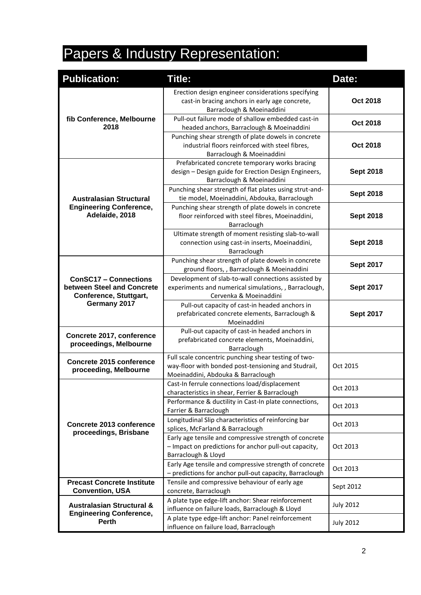# Papers & Industry Representation:

| <b>Publication:</b>                                                                                  | <b>Title:</b>                                                                                                                                     | Date:            |  |
|------------------------------------------------------------------------------------------------------|---------------------------------------------------------------------------------------------------------------------------------------------------|------------------|--|
| fib Conference, Melbourne<br>2018                                                                    | Erection design engineer considerations specifying<br>cast-in bracing anchors in early age concrete,<br>Barraclough & Moeinaddini                 | Oct 2018         |  |
|                                                                                                      | Pull-out failure mode of shallow embedded cast-in<br>headed anchors, Barraclough & Moeinaddini                                                    | Oct 2018         |  |
|                                                                                                      | Punching shear strength of plate dowels in concrete<br>industrial floors reinforced with steel fibres,<br>Barraclough & Moeinaddini               | Oct 2018         |  |
|                                                                                                      | Prefabricated concrete temporary works bracing<br>design - Design guide for Erection Design Engineers,<br>Barraclough & Moeinaddini               | <b>Sept 2018</b> |  |
| <b>Australasian Structural</b>                                                                       | Punching shear strength of flat plates using strut-and-<br>tie model, Moeinaddini, Abdouka, Barraclough                                           | <b>Sept 2018</b> |  |
| <b>Engineering Conference,</b><br>Adelaide, 2018                                                     | Punching shear strength of plate dowels in concrete<br>floor reinforced with steel fibres, Moeinaddini,<br>Barraclough                            | <b>Sept 2018</b> |  |
|                                                                                                      | Ultimate strength of moment resisting slab-to-wall<br>connection using cast-in inserts, Moeinaddini,<br>Barraclough                               | <b>Sept 2018</b> |  |
|                                                                                                      | Punching shear strength of plate dowels in concrete<br>ground floors, , Barraclough & Moeinaddini                                                 | <b>Sept 2017</b> |  |
| <b>ConSC17 - Connections</b><br>between Steel and Concrete<br>Conference, Stuttgart,<br>Germany 2017 | Development of slab-to-wall connections assisted by<br>experiments and numerical simulations, , Barraclough,<br>Cervenka & Moeinaddini            | <b>Sept 2017</b> |  |
|                                                                                                      | Pull-out capacity of cast-in headed anchors in<br>prefabricated concrete elements, Barraclough &<br>Moeinaddini                                   | <b>Sept 2017</b> |  |
| Concrete 2017, conference<br>proceedings, Melbourne                                                  | Pull-out capacity of cast-in headed anchors in<br>prefabricated concrete elements, Moeinaddini,<br>Barraclough                                    |                  |  |
| <b>Concrete 2015 conference</b><br>proceeding, Melbourne                                             | Full scale concentric punching shear testing of two-<br>way-floor with bonded post-tensioning and Studrail,<br>Moeinaddini, Abdouka & Barraclough | Oct 2015         |  |
|                                                                                                      | Cast-In ferrule connections load/displacement<br>characteristics in shear, Ferrier & Barraclough                                                  | Oct 2013         |  |
|                                                                                                      | Performance & ductility in Cast-In plate connections,<br>Farrier & Barraclough                                                                    | Oct 2013         |  |
| Concrete 2013 conference<br>proceedings, Brisbane                                                    | Longitudinal Slip characteristics of reinforcing bar<br>splices, McFarland & Barraclough                                                          | Oct 2013         |  |
|                                                                                                      | Early age tensile and compressive strength of concrete<br>- Impact on predictions for anchor pull-out capacity,<br>Barraclough & Lloyd            | Oct 2013         |  |
|                                                                                                      | Early Age tensile and compressive strength of concrete<br>- predictions for anchor pull-out capacity, Barraclough                                 | Oct 2013         |  |
| <b>Precast Concrete Institute</b><br><b>Convention, USA</b>                                          | Tensile and compressive behaviour of early age<br>concrete, Barraclough                                                                           | Sept 2012        |  |
| <b>Australasian Structural &amp;</b><br><b>Engineering Conference,</b><br><b>Perth</b>               | A plate type edge-lift anchor: Shear reinforcement<br>influence on failure loads, Barraclough & Lloyd                                             | <b>July 2012</b> |  |
|                                                                                                      | A plate type edge-lift anchor: Panel reinforcement<br>influence on failure load, Barraclough                                                      | <b>July 2012</b> |  |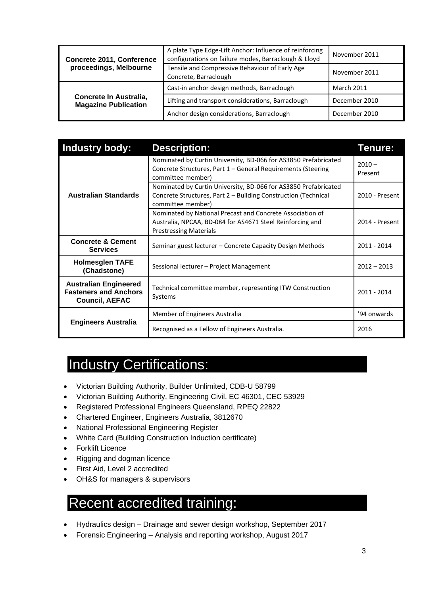| <b>Concrete 2011, Conference</b><br>proceedings, Melbourne | A plate Type Edge-Lift Anchor: Influence of reinforcing<br>configurations on failure modes, Barraclough & Lloyd | November 2011     |  |
|------------------------------------------------------------|-----------------------------------------------------------------------------------------------------------------|-------------------|--|
|                                                            | Tensile and Compressive Behaviour of Early Age<br>Concrete, Barraclough                                         | November 2011     |  |
| Concrete In Australia,<br><b>Magazine Publication</b>      | Cast-in anchor design methods, Barraclough                                                                      | <b>March 2011</b> |  |
|                                                            | Lifting and transport considerations, Barraclough                                                               | December 2010     |  |
|                                                            | Anchor design considerations, Barraclough                                                                       | December 2010     |  |

| <b>Industry body:</b>                                                                 | <b>Description:</b>                                                                                                                                     | Tenure:             |
|---------------------------------------------------------------------------------------|---------------------------------------------------------------------------------------------------------------------------------------------------------|---------------------|
| <b>Australian Standards</b>                                                           | Nominated by Curtin University, BD-066 for AS3850 Prefabricated<br>Concrete Structures, Part 1 – General Requirements (Steering<br>committee member)    | $2010 -$<br>Present |
|                                                                                       | Nominated by Curtin University, BD-066 for AS3850 Prefabricated<br>Concrete Structures, Part 2 - Building Construction (Technical<br>committee member)  | 2010 - Present      |
|                                                                                       | Nominated by National Precast and Concrete Association of<br>Australia, NPCAA, BD-084 for AS4671 Steel Reinforcing and<br><b>Prestressing Materials</b> | 2014 - Present      |
| <b>Concrete &amp; Cement</b><br><b>Services</b>                                       | Seminar guest lecturer – Concrete Capacity Design Methods                                                                                               | 2011 - 2014         |
| <b>Holmesglen TAFE</b><br>(Chadstone)                                                 | Sessional lecturer - Project Management                                                                                                                 | $2012 - 2013$       |
| <b>Australian Engineered</b><br><b>Fasteners and Anchors</b><br><b>Council, AEFAC</b> | Technical committee member, representing ITW Construction<br>Systems                                                                                    | 2011 - 2014         |
| <b>Engineers Australia</b>                                                            | Member of Engineers Australia                                                                                                                           | '94 onwards         |
|                                                                                       | Recognised as a Fellow of Engineers Australia.                                                                                                          | 2016                |

#### Industry Certifications:

- Victorian Building Authority, Builder Unlimited, CDB-U 58799
- Victorian Building Authority, Engineering Civil, EC 46301, CEC 53929
- Registered Professional Engineers Queensland, RPEQ 22822
- Chartered Engineer, Engineers Australia, 3812670
- National Professional Engineering Register
- White Card (Building Construction Induction certificate)
- Forklift Licence
- Rigging and dogman licence
- First Aid, Level 2 accredited
- OH&S for managers & supervisors

#### Recent accredited training:

- Hydraulics design Drainage and sewer design workshop, September 2017
- Forensic Engineering Analysis and reporting workshop, August 2017